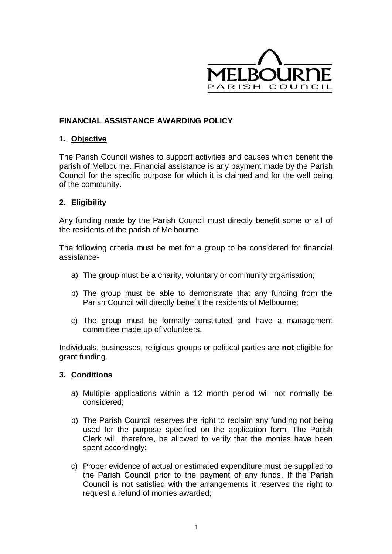

# **FINANCIAL ASSISTANCE AWARDING POLICY**

#### **1. Objective**

The Parish Council wishes to support activities and causes which benefit the parish of Melbourne. Financial assistance is any payment made by the Parish Council for the specific purpose for which it is claimed and for the well being of the community.

#### **2. Eligibility**

Any funding made by the Parish Council must directly benefit some or all of the residents of the parish of Melbourne.

The following criteria must be met for a group to be considered for financial assistance-

- a) The group must be a charity, voluntary or community organisation;
- b) The group must be able to demonstrate that any funding from the Parish Council will directly benefit the residents of Melbourne;
- c) The group must be formally constituted and have a management committee made up of volunteers.

Individuals, businesses, religious groups or political parties are **not** eligible for grant funding.

### **3. Conditions**

- a) Multiple applications within a 12 month period will not normally be considered;
- b) The Parish Council reserves the right to reclaim any funding not being used for the purpose specified on the application form. The Parish Clerk will, therefore, be allowed to verify that the monies have been spent accordingly;
- c) Proper evidence of actual or estimated expenditure must be supplied to the Parish Council prior to the payment of any funds. If the Parish Council is not satisfied with the arrangements it reserves the right to request a refund of monies awarded;